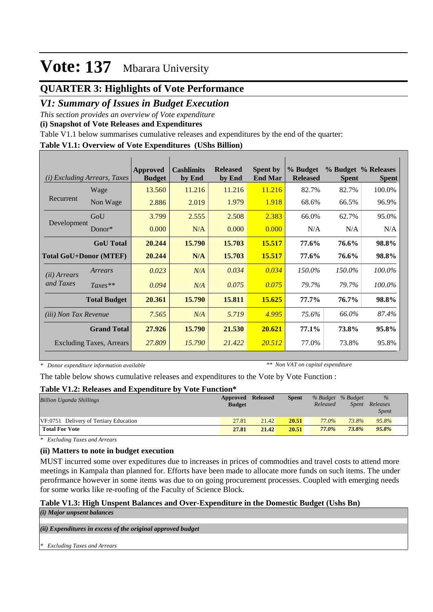## **QUARTER 3: Highlights of Vote Performance**

## *V1: Summary of Issues in Budget Execution*

*This section provides an overview of Vote expenditure* 

**(i) Snapshot of Vote Releases and Expenditures**

Table V1.1 below summarises cumulative releases and expenditures by the end of the quarter:

#### **Table V1.1: Overview of Vote Expenditures (UShs Billion)**

| (i)                           | <i>Excluding Arrears, Taxes</i> | Approved<br><b>Budget</b> | <b>Cashlimits</b><br>by End | <b>Released</b><br>by End | <b>Spent by</b><br><b>End Mar</b> | % Budget<br><b>Released</b> | <b>Spent</b> | % Budget % Releases<br><b>Spent</b> |
|-------------------------------|---------------------------------|---------------------------|-----------------------------|---------------------------|-----------------------------------|-----------------------------|--------------|-------------------------------------|
|                               | Wage                            | 13.560                    | 11.216                      | 11.216                    | 11.216                            | 82.7%                       | 82.7%        | 100.0%                              |
| Recurrent                     | Non Wage                        | 2.886                     | 2.019                       | 1.979                     | 1.918                             | 68.6%                       | 66.5%        | 96.9%                               |
|                               | GoU                             | 3.799                     | 2.555                       | 2.508                     | 2.383                             | 66.0%                       | 62.7%        | 95.0%                               |
| Development                   | Donor $*$                       | 0.000                     | N/A                         | 0.000                     | 0.000                             | N/A                         | N/A          | N/A                                 |
|                               | <b>GoU</b> Total                | 20.244                    | 15.790                      | 15.703                    | 15.517                            | 77.6%                       | 76.6%        | 98.8%                               |
| <b>Total GoU+Donor (MTEF)</b> |                                 | 20.244                    | N/A                         | 15.703                    | 15.517                            | 77.6%                       | 76.6%        | 98.8%                               |
| ( <i>ii</i> ) Arrears         | Arrears                         | 0.023                     | N/A                         | 0.034                     | 0.034                             | 150.0%                      | 150.0%       | 100.0%                              |
| and Taxes                     | $Taxes**$                       | 0.094                     | N/A                         | 0.075                     | 0.075                             | 79.7%                       | 79.7%        | 100.0%                              |
|                               | <b>Total Budget</b>             | 20.361                    | 15.790                      | 15.811                    | 15.625                            | 77.7%                       | 76.7%        | 98.8%                               |
| <i>(iii)</i> Non Tax Revenue  |                                 | 7.565                     | N/A                         | 5.719                     | 4.995                             | 75.6%                       | 66.0%        | 87.4%                               |
|                               | <b>Grand Total</b>              | 27.926                    | 15.790                      | 21.530                    | 20.621                            | 77.1%                       | 73.8%        | 95.8%                               |
|                               | <b>Excluding Taxes, Arrears</b> | 27.809                    | 15.790                      | 21.422                    | 20.512                            | 77.0%                       | 73.8%        | 95.8%                               |

*\* Donor expenditure information available*

*\*\* Non VAT on capital expenditure*

The table below shows cumulative releases and expenditures to the Vote by Vote Function :

#### **Table V1.2: Releases and Expenditure by Vote Function\***

| <b>Billion Uganda Shillings</b>        | Approved Released<br><b>Budget</b> |       | <b>Spent</b> | % Budget % Budget<br>Released | <i>Spent</i> | $\%$<br>Releases<br><i>Spent</i> |  |
|----------------------------------------|------------------------------------|-------|--------------|-------------------------------|--------------|----------------------------------|--|
| VF:0751 Delivery of Tertiary Education | 27.81                              | 21.42 | 20.51        | 77.0%                         | 73.8%        | 95.8%                            |  |
| <b>Total For Vote</b>                  | 27.81                              | 21.42 | 20.51        | 77.0%                         | 73.8%        | 95.8%                            |  |

*\* Excluding Taxes and Arrears*

#### **(ii) Matters to note in budget execution**

MUST incurred some over expeditures due to increases in prices of commodties and travel costs to attend more meetings in Kampala than planned for. Efforts have been made to allocate more funds on such items. The under perofrmance however in some items was due to on going procurement processes. Coupled with emerging needs for some works like re-roofing of the Faculty of Science Block.

### **Table V1.3: High Unspent Balances and Over-Expenditure in the Domestic Budget (Ushs Bn)**

*(i) Major unpsent balances*

*(ii) Expenditures in excess of the original approved budget*

*\* Excluding Taxes and Arrears*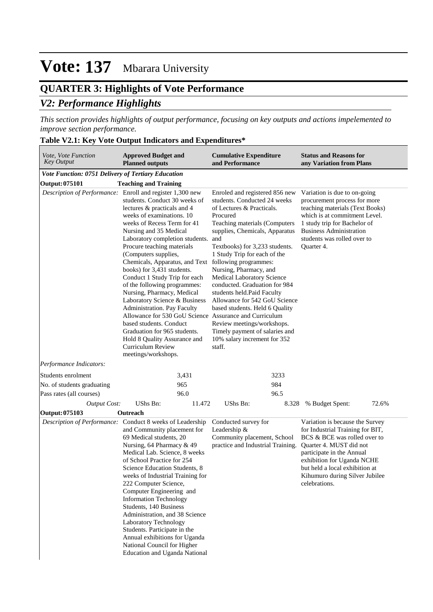## **QUARTER 3: Highlights of Vote Performance** *V2: Performance Highlights*

*This section provides highlights of output performance, focusing on key outputs and actions impelemented to improve section performance.*

#### **Table V2.1: Key Vote Output Indicators and Expenditures\***

| Vote, Vote Function<br><b>Key Output</b>           | <b>Approved Budget and</b><br><b>Planned outputs</b>                                                                                                                                                                                                                                                                                                                                                                                                                                                                                                                                                                                                                                                                                                           | <b>Cumulative Expenditure</b><br>and Performance                                                                                                                                                                                                                                                                                                                                                                                                                                                                                                         | <b>Status and Reasons for</b><br>any Variation from Plans                                                                                                                                                                                                                      |  |  |
|----------------------------------------------------|----------------------------------------------------------------------------------------------------------------------------------------------------------------------------------------------------------------------------------------------------------------------------------------------------------------------------------------------------------------------------------------------------------------------------------------------------------------------------------------------------------------------------------------------------------------------------------------------------------------------------------------------------------------------------------------------------------------------------------------------------------------|----------------------------------------------------------------------------------------------------------------------------------------------------------------------------------------------------------------------------------------------------------------------------------------------------------------------------------------------------------------------------------------------------------------------------------------------------------------------------------------------------------------------------------------------------------|--------------------------------------------------------------------------------------------------------------------------------------------------------------------------------------------------------------------------------------------------------------------------------|--|--|
| Vote Function: 0751 Delivery of Tertiary Education |                                                                                                                                                                                                                                                                                                                                                                                                                                                                                                                                                                                                                                                                                                                                                                |                                                                                                                                                                                                                                                                                                                                                                                                                                                                                                                                                          |                                                                                                                                                                                                                                                                                |  |  |
| Output: 075101                                     | <b>Teaching and Training</b>                                                                                                                                                                                                                                                                                                                                                                                                                                                                                                                                                                                                                                                                                                                                   |                                                                                                                                                                                                                                                                                                                                                                                                                                                                                                                                                          |                                                                                                                                                                                                                                                                                |  |  |
|                                                    | Description of Performance: Enroll and register 1,300 new<br>students. Conduct 30 weeks of<br>lectures & practicals and 4<br>weeks of examinations. 10<br>weeks of Recess Term for 41<br>Nursing and 35 Medical<br>Laboratory completion students.<br>Procure teaching materials<br>(Computers supplies,<br>Chemicals, Apparatus, and Text following programmes:<br>books) for 3,431 students.<br>Conduct 1 Study Trip for each<br>of the following programmes:<br>Nursing, Pharmacy, Medical<br>Laboratory Science & Business<br>Administration. Pay Faculty<br>Allowance for 530 GoU Science Assurance and Curriculum<br>based students. Conduct<br>Graduation for 965 students.<br>Hold 8 Quality Assurance and<br>Curriculum Review<br>meetings/workshops. | Enroled and registered 856 new<br>students. Conducted 24 weeks<br>of Lectures & Practicals.<br>Procured<br>Teaching materials (Computers<br>supplies, Chemicals, Apparatus<br>and<br>Textbooks) for 3,233 students.<br>1 Study Trip for each of the<br>Nursing, Pharmacy, and<br>Medical Laboratory Science<br>conducted. Graduation for 984<br>students held. Paid Faculty<br>Allowance for 542 GoU Science<br>based students. Held 6 Quality<br>Review meetings/workshops.<br>Timely payment of salaries and<br>10% salary increment for 352<br>staff. | Variation is due to on-going<br>procurement process for more<br>teaching materials (Text Books)<br>which is at commitment Level.<br>1 study trip for Bachelor of<br><b>Business Administration</b><br>students was rolled over to<br>Quarter 4.                                |  |  |
| Performance Indicators:                            |                                                                                                                                                                                                                                                                                                                                                                                                                                                                                                                                                                                                                                                                                                                                                                |                                                                                                                                                                                                                                                                                                                                                                                                                                                                                                                                                          |                                                                                                                                                                                                                                                                                |  |  |
| Students enrolment                                 | 3,431                                                                                                                                                                                                                                                                                                                                                                                                                                                                                                                                                                                                                                                                                                                                                          | 3233                                                                                                                                                                                                                                                                                                                                                                                                                                                                                                                                                     |                                                                                                                                                                                                                                                                                |  |  |
| No. of students graduating                         | 965                                                                                                                                                                                                                                                                                                                                                                                                                                                                                                                                                                                                                                                                                                                                                            | 984                                                                                                                                                                                                                                                                                                                                                                                                                                                                                                                                                      |                                                                                                                                                                                                                                                                                |  |  |
| Pass rates (all courses)                           | 96.0                                                                                                                                                                                                                                                                                                                                                                                                                                                                                                                                                                                                                                                                                                                                                           | 96.5                                                                                                                                                                                                                                                                                                                                                                                                                                                                                                                                                     |                                                                                                                                                                                                                                                                                |  |  |
| <b>Output Cost:</b>                                | <b>UShs Bn:</b><br>11.472                                                                                                                                                                                                                                                                                                                                                                                                                                                                                                                                                                                                                                                                                                                                      | <b>UShs Bn:</b><br>8.328                                                                                                                                                                                                                                                                                                                                                                                                                                                                                                                                 | 72.6%<br>% Budget Spent:                                                                                                                                                                                                                                                       |  |  |
| <b>Output: 075103</b>                              | Outreach                                                                                                                                                                                                                                                                                                                                                                                                                                                                                                                                                                                                                                                                                                                                                       |                                                                                                                                                                                                                                                                                                                                                                                                                                                                                                                                                          |                                                                                                                                                                                                                                                                                |  |  |
| Description of Performance:                        | Conduct 8 weeks of Leadership<br>and Community placement for<br>69 Medical students, 20<br>Nursing, 64 Pharmacy & 49<br>Medical Lab. Science, 8 weeks<br>of School Practice for 254<br>Science Education Students, 8<br>weeks of Industrial Training for<br>222 Computer Science,<br>Computer Engineering and<br><b>Information Technology</b><br>Students, 140 Business<br>Administration, and 38 Science<br>Laboratory Technology<br>Students. Participate in the<br>Annual exhibitions for Uganda<br>National Council for Higher<br><b>Education and Uganda National</b>                                                                                                                                                                                    | Conducted survey for<br>Leadership &<br>Community placement, School<br>practice and Industrial Training.                                                                                                                                                                                                                                                                                                                                                                                                                                                 | Variation is because the Survey<br>for Industrial Training for BIT,<br>BCS & BCE was rolled over to<br>Quarter 4. MUST did not<br>participate in the Annual<br>exhibition for Uganda NCHE<br>but held a local exhibition at<br>Kihumuro during Silver Jubilee<br>celebrations. |  |  |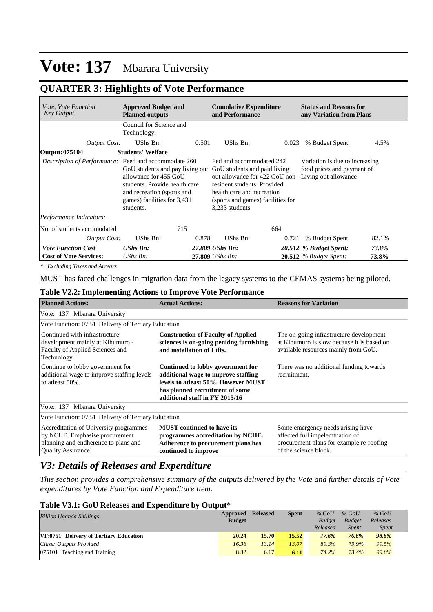## **QUARTER 3: Highlights of Vote Performance**

| <i>Vote, Vote Function</i><br><b>Key Output</b>                                                                                                                                                                             | <b>Approved Budget and</b><br><b>Planned outputs</b> |       | <b>Cumulative Expenditure</b><br>and Performance                                                                                                                                                                                                                                                    |       | <b>Status and Reasons for</b><br>any Variation from Plans |       |  |  |
|-----------------------------------------------------------------------------------------------------------------------------------------------------------------------------------------------------------------------------|------------------------------------------------------|-------|-----------------------------------------------------------------------------------------------------------------------------------------------------------------------------------------------------------------------------------------------------------------------------------------------------|-------|-----------------------------------------------------------|-------|--|--|
|                                                                                                                                                                                                                             | Council for Science and<br>Technology.               |       |                                                                                                                                                                                                                                                                                                     |       |                                                           |       |  |  |
| <b>Output Cost:</b>                                                                                                                                                                                                         | UShs Bn:                                             | 0.501 | UShs Bn:                                                                                                                                                                                                                                                                                            | 0.023 | % Budget Spent:                                           | 4.5%  |  |  |
| Output: 075104                                                                                                                                                                                                              | <b>Students' Welfare</b>                             |       |                                                                                                                                                                                                                                                                                                     |       |                                                           |       |  |  |
| Description of Performance: Feed and accommodate 260<br>GoU students and pay living out<br>allowance for 455 GoU<br>students. Provide health care<br>and recreation (sports and<br>games) facilities for 3,431<br>students. |                                                      |       | Fed and accommodated 242<br>Variation is due to increasing<br>food prices and payment of<br>GoU students and paid living<br>out allowance for 422 GoU non-Living out allowance<br>resident students. Provided<br>health care and recreation<br>(sports and games) facilities for<br>3.233 students. |       |                                                           |       |  |  |
| Performance Indicators:                                                                                                                                                                                                     |                                                      |       |                                                                                                                                                                                                                                                                                                     |       |                                                           |       |  |  |
| No. of students accomodated                                                                                                                                                                                                 | 715                                                  |       | 664                                                                                                                                                                                                                                                                                                 |       |                                                           |       |  |  |
| <b>Output Cost:</b>                                                                                                                                                                                                         | UShs Bn:                                             | 0.878 | UShs Bn:                                                                                                                                                                                                                                                                                            | 0.721 | % Budget Spent:                                           | 82.1% |  |  |
| <b>Vote Function Cost</b>                                                                                                                                                                                                   | <b>UShs Bn:</b>                                      |       | 27.809 UShs Bn:                                                                                                                                                                                                                                                                                     |       | 20.512 % Budget Spent:                                    | 73.8% |  |  |
| <b>Cost of Vote Services:</b>                                                                                                                                                                                               | UShs Bn:                                             |       | 27.809 UShs Bn:                                                                                                                                                                                                                                                                                     |       | <b>20.512</b> % Budget Spent:                             | 73.8% |  |  |

*\* Excluding Taxes and Arrears*

MUST has faced challenges in migration data from the legacy systems to the CEMAS systems being piloted.

### **Table V2.2: Implementing Actions to Improve Vote Performance**

| <b>Planned Actions:</b>                                                                                                                       | <b>Actual Actions:</b>                                                                                                                                                               | <b>Reasons for Variation</b>                                                                                                              |  |  |  |  |  |  |  |  |  |
|-----------------------------------------------------------------------------------------------------------------------------------------------|--------------------------------------------------------------------------------------------------------------------------------------------------------------------------------------|-------------------------------------------------------------------------------------------------------------------------------------------|--|--|--|--|--|--|--|--|--|
| Vote: 137 Mbarara University                                                                                                                  |                                                                                                                                                                                      |                                                                                                                                           |  |  |  |  |  |  |  |  |  |
|                                                                                                                                               | Vote Function: 07.51 Delivery of Tertiary Education                                                                                                                                  |                                                                                                                                           |  |  |  |  |  |  |  |  |  |
| Continued with infrastructure<br>development mainly at Kihumuro -<br>Faculty of Applied Sciences and<br>Technology                            | <b>Construction of Faculty of Applied</b><br>sciences is on-going penidng furnishing<br>and installation of Lifts.                                                                   | The on-going infrastructure development<br>at Kihumuro is slow because it is based on<br>available resources mainly from GoU.             |  |  |  |  |  |  |  |  |  |
| Continue to lobby government for<br>additional wage to improve staffing levels<br>to at least 50%.                                            | Continued to lobby government for<br>additional wage to improve staffing<br>levels to atleast 50%. However MUST<br>has planned recruitment of some<br>additional staff in FY 2015/16 | There was no additional funding towards<br>recruitment.                                                                                   |  |  |  |  |  |  |  |  |  |
| Vote: 137 Mbarara University                                                                                                                  |                                                                                                                                                                                      |                                                                                                                                           |  |  |  |  |  |  |  |  |  |
| Vote Function: 07 51 Delivery of Tertiary Education                                                                                           |                                                                                                                                                                                      |                                                                                                                                           |  |  |  |  |  |  |  |  |  |
| Accreditation of University programmes<br>by NCHE. Emphasise procurement<br>planning and endherence to plans and<br><b>Quality Assurance.</b> | <b>MUST</b> continued to have its<br>programmes accreditation by NCHE.<br>Adherence to procurement plans has<br>continued to improve                                                 | Some emergency needs arising have<br>affected full impelemtnation of<br>procurement plans for example re-roofing<br>of the science block. |  |  |  |  |  |  |  |  |  |

## *V3: Details of Releases and Expenditure*

*This section provides a comprehensive summary of the outputs delivered by the Vote and further details of Vote expenditures by Vote Function and Expenditure Item.*

#### **Table V3.1: GoU Releases and Expenditure by Output\***

| <b>Billion Uganda Shillings</b>               | Approved Released<br><b>Budget</b> |       | <b>Spent</b> | $%$ GoU<br><b>Budget</b><br>Released | $%$ GoU<br><b>Budget</b><br><b>Spent</b> | $%$ GoU<br>Releases<br><i>Spent</i> |
|-----------------------------------------------|------------------------------------|-------|--------------|--------------------------------------|------------------------------------------|-------------------------------------|
| <b>VF:0751 Delivery of Tertiary Education</b> | 20.24                              | 15.70 | 15.52        | 77.6%                                | 76.6%                                    | 98.8%                               |
| Class: Outputs Provided                       | 16.36                              | 13.14 | 13.07        | 80.3%                                | 79.9%                                    | 99.5%                               |
| $ 075101$ Teaching and Training               | 8.32                               | 6.17  | 6.11         | 74.2%                                | 73.4%                                    | 99.0%                               |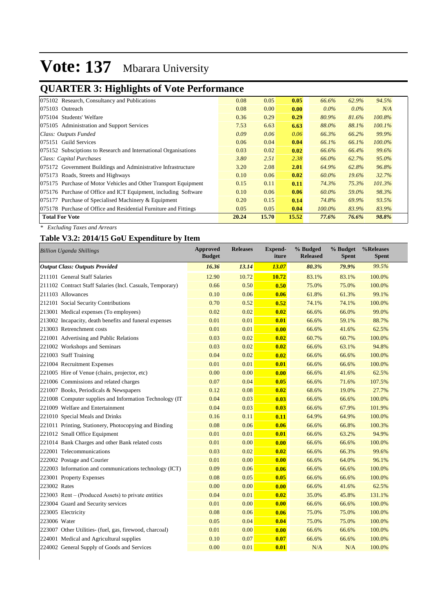## **QUARTER 3: Highlights of Vote Performance**

| 075102 Research, Consultancy and Publications                    | 0.08  | 0.05  | 0.05  | 66.6%     | 62.9%    | 94.5%     |
|------------------------------------------------------------------|-------|-------|-------|-----------|----------|-----------|
| 075103 Outreach                                                  | 0.08  | 0.00  | 0.00  | $0.0\%$   | $0.0\%$  | N/A       |
| 075104 Students' Welfare                                         | 0.36  | 0.29  | 0.29  | 80.9%     | 81.6%    | 100.8%    |
| 075105 Administration and Support Services                       | 7.53  | 6.63  | 6.63  | 88.0%     | 88.1%    | 100.1%    |
| Class: Outputs Funded                                            | 0.09  | 0.06  | 0.06  | 66.3%     | 66.2%    | 99.9%     |
| 075151 Guild Services                                            | 0.06  | 0.04  | 0.04  | 66.1%     | 66.1%    | $100.0\%$ |
| 075152 Subsciptions to Research and International Organisations  | 0.03  | 0.02  | 0.02  | 66.6%     | 66.4%    | 99.6%     |
| Class: Capital Purchases                                         | 3.80  | 2.51  | 2.38  | 66.0%     | 62.7%    | $95.0\%$  |
| 075172 Government Buildings and Administrative Infrastructure    | 3.20  | 2.08  | 2.01  | 64.9%     | 62.8%    | 96.8%     |
| 075173 Roads, Streets and Highways                               | 0.10  | 0.06  | 0.02  | 60.0%     | $19.6\%$ | 32.7%     |
| 075175 Purchase of Motor Vehicles and Other Transport Equipment  | 0.15  | 0.11  | 0.11  | 74.3%     | 75.3%    | 101.3%    |
| 075176 Purchase of Office and ICT Equipment, including Software  | 0.10  | 0.06  | 0.06  | 60.0%     | 59.0%    | 98.3%     |
| 075177 Purchase of Specialised Machinery & Equipment             | 0.20  | 0.15  | 0.14  | 74.8%     | 69.9%    | 93.5%     |
| 075178 Purchase of Office and Residential Furniture and Fittings | 0.05  | 0.05  | 0.04  | $100.0\%$ | 83.9%    | 83.9%     |
| <b>Total For Vote</b>                                            | 20.24 | 15.70 | 15.52 | 77.6%     | 76.6%    | 98.8%     |

*\* Excluding Taxes and Arrears*

## **Table V3.2: 2014/15 GoU Expenditure by Item**

| <b>Billion Uganda Shillings</b>                           | <b>Approved</b><br><b>Budget</b> | <b>Releases</b> | <b>Expend-</b><br>iture | % Budged<br><b>Released</b> | % Budget<br><b>Spent</b> | %Releases<br><b>Spent</b> |
|-----------------------------------------------------------|----------------------------------|-----------------|-------------------------|-----------------------------|--------------------------|---------------------------|
| <b>Output Class: Outputs Provided</b>                     | 16.36                            | 13.14           | 13.07                   | 80.3%                       | 79.9%                    | 99.5%                     |
| 211101 General Staff Salaries                             | 12.90                            | 10.72           | 10.72                   | 83.1%                       | 83.1%                    | 100.0%                    |
| 211102 Contract Staff Salaries (Incl. Casuals, Temporary) | 0.66                             | 0.50            | 0.50                    | 75.0%                       | 75.0%                    | 100.0%                    |
| 211103 Allowances                                         | 0.10                             | 0.06            | 0.06                    | 61.8%                       | 61.3%                    | 99.1%                     |
| 212101 Social Security Contributions                      | 0.70                             | 0.52            | 0.52                    | 74.1%                       | 74.1%                    | 100.0%                    |
| 213001 Medical expenses (To employees)                    | 0.02                             | 0.02            | 0.02                    | 66.6%                       | 66.0%                    | 99.0%                     |
| 213002 Incapacity, death benefits and funeral expenses    | 0.01                             | 0.01            | 0.01                    | 66.6%                       | 59.1%                    | 88.7%                     |
| 213003 Retrenchment costs                                 | 0.01                             | 0.01            | 0.00                    | 66.6%                       | 41.6%                    | 62.5%                     |
| 221001 Advertising and Public Relations                   | 0.03                             | 0.02            | 0.02                    | 60.7%                       | 60.7%                    | 100.0%                    |
| 221002 Workshops and Seminars                             | 0.03                             | 0.02            | 0.02                    | 66.6%                       | 63.1%                    | 94.8%                     |
| 221003 Staff Training                                     | 0.04                             | 0.02            | 0.02                    | 66.6%                       | 66.6%                    | 100.0%                    |
| 221004 Recruitment Expenses                               | 0.01                             | 0.01            | 0.01                    | 66.6%                       | 66.6%                    | 100.0%                    |
| 221005 Hire of Venue (chairs, projector, etc)             | 0.00                             | 0.00            | 0.00                    | 66.6%                       | 41.6%                    | 62.5%                     |
| 221006 Commissions and related charges                    | 0.07                             | 0.04            | 0.05                    | 66.6%                       | 71.6%                    | 107.5%                    |
| 221007 Books, Periodicals & Newspapers                    | 0.12                             | 0.08            | 0.02                    | 68.6%                       | 19.0%                    | 27.7%                     |
| 221008 Computer supplies and Information Technology (IT   | 0.04                             | 0.03            | 0.03                    | 66.6%                       | 66.6%                    | 100.0%                    |
| 221009 Welfare and Entertainment                          | 0.04                             | 0.03            | 0.03                    | 66.6%                       | 67.9%                    | 101.9%                    |
| 221010 Special Meals and Drinks                           | 0.16                             | 0.11            | 0.11                    | 64.9%                       | 64.9%                    | 100.0%                    |
| 221011 Printing, Stationery, Photocopying and Binding     | 0.08                             | 0.06            | 0.06                    | 66.6%                       | 66.8%                    | 100.3%                    |
| 221012 Small Office Equipment                             | 0.01                             | 0.01            | 0.01                    | 66.6%                       | 63.2%                    | 94.9%                     |
| 221014 Bank Charges and other Bank related costs          | 0.01                             | 0.00            | 0.00                    | 66.6%                       | 66.6%                    | 100.0%                    |
| 222001 Telecommunications                                 | 0.03                             | 0.02            | 0.02                    | 66.6%                       | 66.3%                    | 99.6%                     |
| 222002 Postage and Courier                                | 0.01                             | 0.00            | 0.00                    | 66.6%                       | 64.0%                    | 96.1%                     |
| 222003 Information and communications technology (ICT)    | 0.09                             | 0.06            | 0.06                    | 66.6%                       | 66.6%                    | 100.0%                    |
| 223001 Property Expenses                                  | 0.08                             | 0.05            | 0.05                    | 66.6%                       | 66.6%                    | 100.0%                    |
| 223002 Rates                                              | 0.00                             | 0.00            | 0.00                    | 66.6%                       | 41.6%                    | 62.5%                     |
| 223003 Rent – (Produced Assets) to private entities       | 0.04                             | 0.01            | 0.02                    | 35.0%                       | 45.8%                    | 131.1%                    |
| 223004 Guard and Security services                        | 0.01                             | 0.00            | 0.00                    | 66.6%                       | 66.6%                    | 100.0%                    |
| 223005 Electricity                                        | 0.08                             | 0.06            | 0.06                    | 75.0%                       | 75.0%                    | 100.0%                    |
| 223006 Water                                              | 0.05                             | 0.04            | 0.04                    | 75.0%                       | 75.0%                    | 100.0%                    |
| 223007 Other Utilities- (fuel, gas, firewood, charcoal)   | 0.01                             | 0.00            | 0.00                    | 66.6%                       | 66.6%                    | 100.0%                    |
| 224001 Medical and Agricultural supplies                  | 0.10                             | 0.07            | 0.07                    | 66.6%                       | 66.6%                    | 100.0%                    |
| 224002 General Supply of Goods and Services               | 0.00                             | 0.01            | 0.01                    | N/A                         | N/A                      | 100.0%                    |